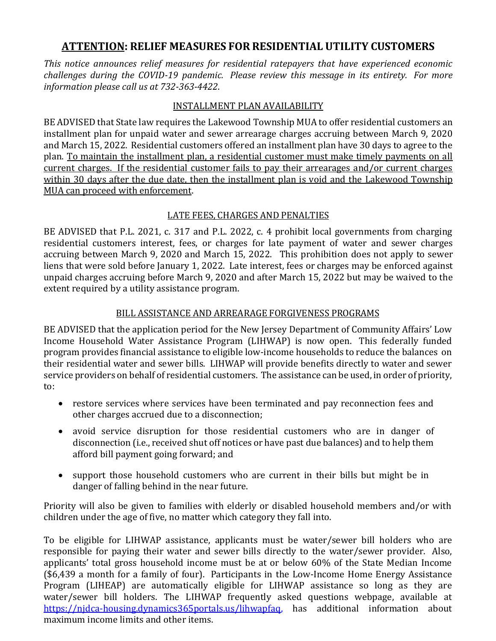## **ATTENTION: RELIEF MEASURES FOR RESIDENTIAL UTILITY CUSTOMERS**

*This notice announces relief measures for residential ratepayers that have experienced economic challenges during the COVID-19 pandemic. Please review this message in its entirety. For more information please call us at 732-363-4422*.

## INSTALLMENT PLAN AVAILABILITY

BE ADVISED that State law requires the Lakewood Township MUA to offer residential customers an installment plan for unpaid water and sewer arrearage charges accruing between March 9, 2020 and March 15, 2022. Residential customers offered an installment plan have 30 days to agree to the plan. To maintain the installment plan, a residential customer must make timely payments on all current charges. If the residential customer fails to pay their arrearages and/or current charges within 30 days after the due date, then the installment plan is void and the Lakewood Township MUA can proceed with enforcement.

## LATE FEES, CHARGES AND PENALTIES

BE ADVISED that P.L. 2021, c. 317 and P.L. 2022, c. 4 prohibit local governments from charging residential customers interest, fees, or charges for late payment of water and sewer charges accruing between March 9, 2020 and March 15, 2022. This prohibition does not apply to sewer liens that were sold before January 1, 2022. Late interest, fees or charges may be enforced against unpaid charges accruing before March 9, 2020 and after March 15, 2022 but may be waived to the extent required by a utility assistance program.

## BILL ASSISTANCE AND ARREARAGE FORGIVENESS PROGRAMS

BE ADVISED that the application period for the New Jersey Department of Community Affairs' Low Income Household Water Assistance Program (LIHWAP) is now open. This federally funded program provides financial assistance to eligible low-income households to reduce the balances on their residential water and sewer bills. LIHWAP will provide benefits directly to water and sewer service providers on behalf of residential customers. The assistance can be used, in order of priority, to:

- restore services where services have been terminated and pay reconnection fees and other charges accrued due to a disconnection;
- avoid service disruption for those residential customers who are in danger of disconnection (i.e., received shut off notices or have past due balances) and to help them afford bill payment going forward; and
- support those household customers who are current in their bills but might be in danger of falling behind in the near future.

Priority will also be given to families with elderly or disabled household members and/or with children under the age of five, no matter which category they fall into.

To be eligible for LIHWAP assistance, applicants must be water/sewer bill holders who are responsible for paying their water and sewer bills directly to the water/sewer provider. Also, applicants' total gross household income must be at or below 60% of the State Median Income (\$6,439 a month for a family of four). Participants in the Low-Income Home Energy Assistance Program (LIHEAP) are automatically eligible for LIHWAP assistance so long as they are water/sewer bill holders. The LIHWAP frequently asked questions webpage, available at [https://njdca-housing.dynamics365portals.us/lihwapfaq,](https://njdca-housing.dynamics365portals.us/lihwapfaq) has additional information about maximum income limits and other items.